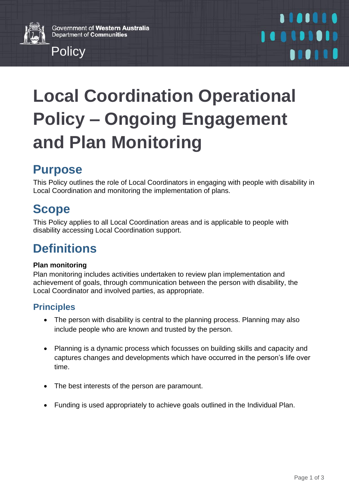Government of Western Australia Department of Communities



# **Local Coordination Operational Policy – Ongoing Engagement and Plan Monitoring**

# **Purpose**

This Policy outlines the role of Local Coordinators in engaging with people with disability in Local Coordination and monitoring the implementation of plans.

# **Scope**

This Policy applies to all Local Coordination areas and is applicable to people with disability accessing Local Coordination support.

# **Definitions**

#### **Plan monitoring**

Plan monitoring includes activities undertaken to review plan implementation and achievement of goals, through communication between the person with disability, the Local Coordinator and involved parties, as appropriate.

#### **Principles**

- The person with disability is central to the planning process. Planning may also include people who are known and trusted by the person.
- Planning is a dynamic process which focusses on building skills and capacity and captures changes and developments which have occurred in the person's life over time.
- The best interests of the person are paramount.
- Funding is used appropriately to achieve goals outlined in the Individual Plan.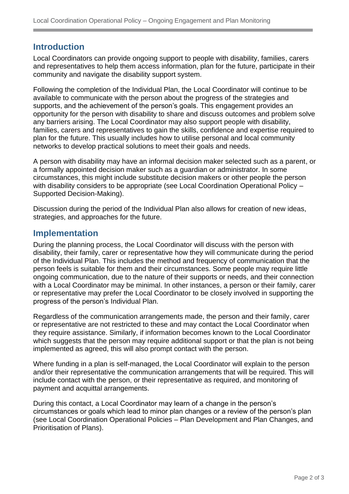#### **Introduction**

Local Coordinators can provide ongoing support to people with disability, families, carers and representatives to help them access information, plan for the future, participate in their community and navigate the disability support system.

Following the completion of the Individual Plan, the Local Coordinator will continue to be available to communicate with the person about the progress of the strategies and supports, and the achievement of the person's goals. This engagement provides an opportunity for the person with disability to share and discuss outcomes and problem solve any barriers arising. The Local Coordinator may also support people with disability, families, carers and representatives to gain the skills, confidence and expertise required to plan for the future. This usually includes how to utilise personal and local community networks to develop practical solutions to meet their goals and needs.

A person with disability may have an informal decision maker selected such as a parent, or a formally appointed decision maker such as a guardian or administrator. In some circumstances, this might include substitute decision makers or other people the person with disability considers to be appropriate (see Local Coordination Operational Policy – Supported Decision-Making).

Discussion during the period of the Individual Plan also allows for creation of new ideas, strategies, and approaches for the future.

#### **Implementation**

During the planning process, the Local Coordinator will discuss with the person with disability, their family, carer or representative how they will communicate during the period of the Individual Plan. This includes the method and frequency of communication that the person feels is suitable for them and their circumstances. Some people may require little ongoing communication, due to the nature of their supports or needs, and their connection with a Local Coordinator may be minimal. In other instances, a person or their family, carer or representative may prefer the Local Coordinator to be closely involved in supporting the progress of the person's Individual Plan.

Regardless of the communication arrangements made, the person and their family, carer or representative are not restricted to these and may contact the Local Coordinator when they require assistance. Similarly, if information becomes known to the Local Coordinator which suggests that the person may require additional support or that the plan is not being implemented as agreed, this will also prompt contact with the person.

Where funding in a plan is self-managed, the Local Coordinator will explain to the person and/or their representative the communication arrangements that will be required. This will include contact with the person, or their representative as required, and monitoring of payment and acquittal arrangements.

During this contact, a Local Coordinator may learn of a change in the person's circumstances or goals which lead to minor plan changes or a review of the person's plan (see Local Coordination Operational Policies – Plan Development and Plan Changes, and Prioritisation of Plans).